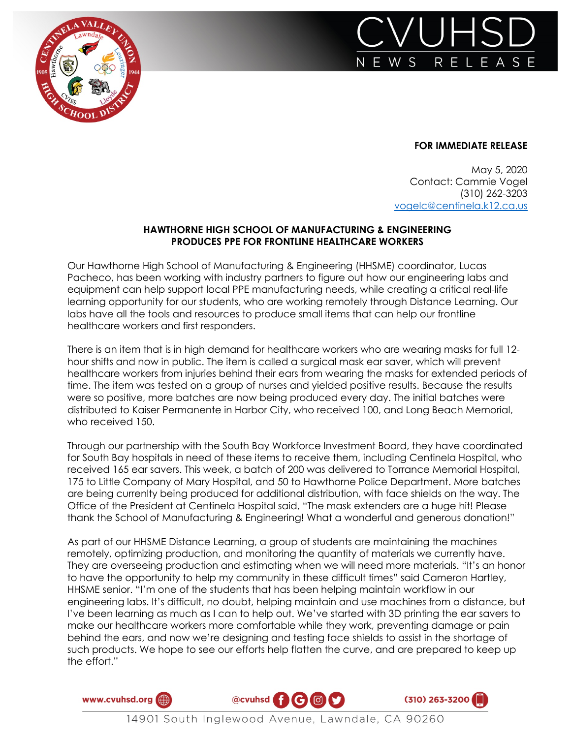



## **FOR IMMEDIATE RELEASE**

May 5, 2020 Contact: Cammie Vogel (310) 262-3203 vogelc@centinela.k12.ca.us

## **HAWTHORNE HIGH SCHOOL OF MANUFACTURING & ENGINEERING PRODUCES PPE FOR FRONTLINE HEALTHCARE WORKERS**

Our Hawthorne High School of Manufacturing & Engineering (HHSME) coordinator, Lucas Pacheco, has been working with industry partners to figure out how our engineering labs and equipment can help support local PPE manufacturing needs, while creating a critical real-life learning opportunity for our students, who are working remotely through Distance Learning. Our labs have all the tools and resources to produce small items that can help our frontline healthcare workers and first responders.

There is an item that is in high demand for healthcare workers who are wearing masks for full 12 hour shifts and now in public. The item is called a surgical mask ear saver, which will prevent healthcare workers from injuries behind their ears from wearing the masks for extended periods of time. The item was tested on a group of nurses and yielded positive results. Because the results were so positive, more batches are now being produced every day. The initial batches were distributed to Kaiser Permanente in Harbor City, who received 100, and Long Beach Memorial, who received 150.

Through our partnership with the South Bay Workforce Investment Board, they have coordinated for South Bay hospitals in need of these items to receive them, including Centinela Hospital, who received 165 ear savers. This week, a batch of 200 was delivered to Torrance Memorial Hospital, 175 to Little Company of Mary Hospital, and 50 to Hawthorne Police Department. More batches are being currenlty being produced for additional distribution, with face shields on the way. The Office of the President at Centinela Hospital said, "The mask extenders are a huge hit! Please thank the School of Manufacturing & Engineering! What a wonderful and generous donation!"

As part of our HHSME Distance Learning, a group of students are maintaining the machines remotely, optimizing production, and monitoring the quantity of materials we currently have. They are overseeing production and estimating when we will need more materials. "It's an honor to have the opportunity to help my community in these difficult times" said Cameron Hartley, HHSME senior. "I'm one of the students that has been helping maintain workflow in our engineering labs. It's difficult, no doubt, helping maintain and use machines from a distance, but I've been learning as much as I can to help out. We've started with 3D printing the ear savers to make our healthcare workers more comfortable while they work, preventing damage or pain behind the ears, and now we're designing and testing face shields to assist in the shortage of such products. We hope to see our efforts help flatten the curve, and are prepared to keep up the effort."